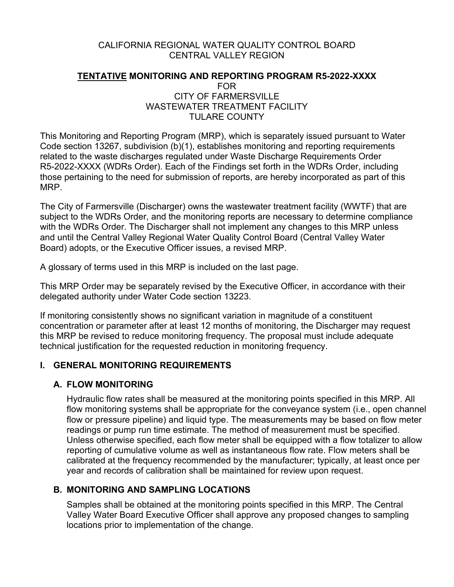#### CALIFORNIA REGIONAL WATER QUALITY CONTROL BOARD CENTRAL VALLEY REGION

#### **TENTATIVE MONITORING AND REPORTING PROGRAM R5-2022-XXXX** FOR CITY OF FARMERSVILLE WASTEWATER TREATMENT FACILITY TULARE COUNTY

This Monitoring and Reporting Program (MRP), which is separately issued pursuant to Water Code section 13267, subdivision (b)(1), establishes monitoring and reporting requirements related to the waste discharges regulated under Waste Discharge Requirements Order R5-2022-XXXX (WDRs Order). Each of the Findings set forth in the WDRs Order, including those pertaining to the need for submission of reports, are hereby incorporated as part of this MRP.

The City of Farmersville (Discharger) owns the wastewater treatment facility (WWTF) that are subject to the WDRs Order, and the monitoring reports are necessary to determine compliance with the WDRs Order. The Discharger shall not implement any changes to this MRP unless and until the Central Valley Regional Water Quality Control Board (Central Valley Water Board) adopts, or the Executive Officer issues, a revised MRP.

A glossary of terms used in this MRP is included on the last page.

This MRP Order may be separately revised by the Executive Officer, in accordance with their delegated authority under Water Code section 13223.

If monitoring consistently shows no significant variation in magnitude of a constituent concentration or parameter after at least 12 months of monitoring, the Discharger may request this MRP be revised to reduce monitoring frequency. The proposal must include adequate technical justification for the requested reduction in monitoring frequency.

#### **I. GENERAL MONITORING REQUIREMENTS**

#### **A. FLOW MONITORING**

Hydraulic flow rates shall be measured at the monitoring points specified in this MRP. All flow monitoring systems shall be appropriate for the conveyance system (i.e., open channel flow or pressure pipeline) and liquid type. The measurements may be based on flow meter readings or pump run time estimate. The method of measurement must be specified. Unless otherwise specified, each flow meter shall be equipped with a flow totalizer to allow reporting of cumulative volume as well as instantaneous flow rate. Flow meters shall be calibrated at the frequency recommended by the manufacturer; typically, at least once per year and records of calibration shall be maintained for review upon request.

#### **B. MONITORING AND SAMPLING LOCATIONS**

Samples shall be obtained at the monitoring points specified in this MRP. The Central Valley Water Board Executive Officer shall approve any proposed changes to sampling locations prior to implementation of the change.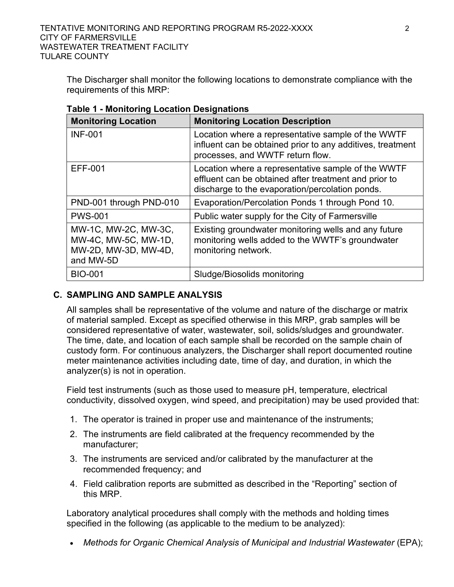The Discharger shall monitor the following locations to demonstrate compliance with the requirements of this MRP:

| <b>Monitoring Location</b>                                                        | <b>Monitoring Location Description</b>                                                                                                                         |
|-----------------------------------------------------------------------------------|----------------------------------------------------------------------------------------------------------------------------------------------------------------|
| <b>INF-001</b>                                                                    | Location where a representative sample of the WWTF<br>influent can be obtained prior to any additives, treatment<br>processes, and WWTF return flow.           |
| EFF-001                                                                           | Location where a representative sample of the WWTF<br>effluent can be obtained after treatment and prior to<br>discharge to the evaporation/percolation ponds. |
| PND-001 through PND-010                                                           | Evaporation/Percolation Ponds 1 through Pond 10.                                                                                                               |
| <b>PWS-001</b>                                                                    | Public water supply for the City of Farmersville                                                                                                               |
| MW-1C, MW-2C, MW-3C,<br>MW-4C, MW-5C, MW-1D,<br>MW-2D, MW-3D, MW-4D,<br>and MW-5D | Existing groundwater monitoring wells and any future<br>monitoring wells added to the WWTF's groundwater<br>monitoring network.                                |
| <b>BIO-001</b>                                                                    | Sludge/Biosolids monitoring                                                                                                                                    |

**Table 1 - Monitoring Location Designations**

# **C. SAMPLING AND SAMPLE ANALYSIS**

All samples shall be representative of the volume and nature of the discharge or matrix of material sampled. Except as specified otherwise in this MRP, grab samples will be considered representative of water, wastewater, soil, solids/sludges and groundwater. The time, date, and location of each sample shall be recorded on the sample chain of custody form. For continuous analyzers, the Discharger shall report documented routine meter maintenance activities including date, time of day, and duration, in which the analyzer(s) is not in operation.

Field test instruments (such as those used to measure pH, temperature, electrical conductivity, dissolved oxygen, wind speed, and precipitation) may be used provided that:

- 1. The operator is trained in proper use and maintenance of the instruments;
- 2. The instruments are field calibrated at the frequency recommended by the manufacturer;
- 3. The instruments are serviced and/or calibrated by the manufacturer at the recommended frequency; and
- 4. Field calibration reports are submitted as described in the "Reporting" section of this MRP.

Laboratory analytical procedures shall comply with the methods and holding times specified in the following (as applicable to the medium to be analyzed):

• Methods for Organic Chemical Analysis of Municipal and Industrial Wastewater (EPA);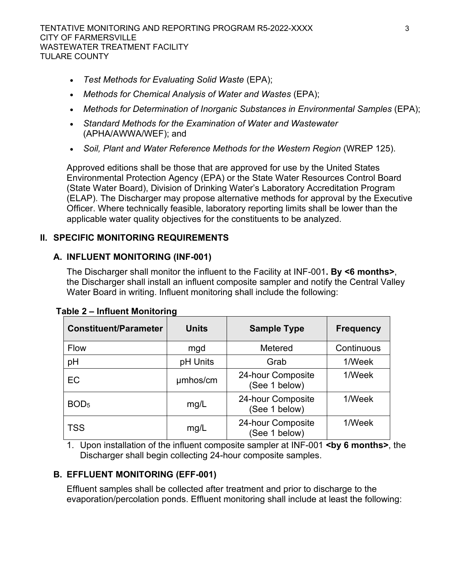- · *Test Methods for Evaluating Solid Waste* (EPA);
- · *Methods for Chemical Analysis of Water and Wastes* (EPA);
- · *Methods for Determination of Inorganic Substances in Environmental Samples* (EPA);
- · *Standard Methods for the Examination of Water and Wastewater*  (APHA/AWWA/WEF); and
- · *Soil, Plant and Water Reference Methods for the Western Region* (WREP 125).

Approved editions shall be those that are approved for use by the United States Environmental Protection Agency (EPA) or the State Water Resources Control Board (State Water Board), Division of Drinking Water's Laboratory Accreditation Program (ELAP). The Discharger may propose alternative methods for approval by the Executive Officer. Where technically feasible, laboratory reporting limits shall be lower than the applicable water quality objectives for the constituents to be analyzed.

# **II. SPECIFIC MONITORING REQUIREMENTS**

# **A. INFLUENT MONITORING (INF-001)**

The Discharger shall monitor the influent to the Facility at INF-001**. By <6 months>**, the Discharger shall install an influent composite sampler and notify the Central Valley Water Board in writing. Influent monitoring shall include the following:

| <b>Constituent/Parameter</b> | <b>Units</b> | <b>Sample Type</b>                 | <b>Frequency</b> |
|------------------------------|--------------|------------------------------------|------------------|
| <b>Flow</b>                  | mgd          | Metered                            | Continuous       |
| рH                           | pH Units     | Grab                               | 1/Week           |
| EC                           | umhos/cm     | 24-hour Composite<br>(See 1 below) | 1/Week           |
| BOD <sub>5</sub>             | mg/L         | 24-hour Composite<br>(See 1 below) | 1/Week           |
| <b>TSS</b>                   | mg/L         | 24-hour Composite<br>(See 1 below) | 1/Week           |

1. Upon installation of the influent composite sampler at INF-001 **<by 6 months>**, the Discharger shall begin collecting 24-hour composite samples.

# **B. EFFLUENT MONITORING (EFF-001)**

Effluent samples shall be collected after treatment and prior to discharge to the evaporation/percolation ponds. Effluent monitoring shall include at least the following: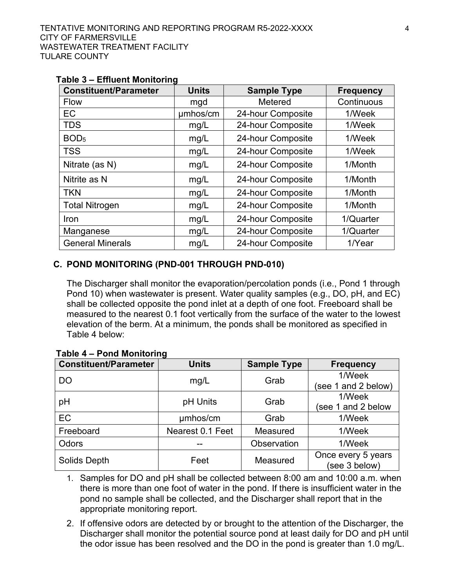| <b>Constituent/Parameter</b> | <b>Units</b> | <b>Sample Type</b> | <b>Frequency</b> |
|------------------------------|--------------|--------------------|------------------|
| Flow                         | mgd          | Metered            | Continuous       |
| EC                           | umhos/cm     | 24-hour Composite  | 1/Week           |
| <b>TDS</b>                   | mg/L         | 24-hour Composite  | 1/Week           |
| BOD <sub>5</sub>             | mg/L         | 24-hour Composite  | 1/Week           |
| <b>TSS</b>                   | mg/L         | 24-hour Composite  | 1/Week           |
| Nitrate (as N)               | mg/L         | 24-hour Composite  | 1/Month          |
| Nitrite as N                 | mg/L         | 24-hour Composite  | 1/Month          |
| <b>TKN</b>                   | mg/L         | 24-hour Composite  | 1/Month          |
| <b>Total Nitrogen</b>        | mg/L         | 24-hour Composite  | 1/Month          |
| Iron                         | mg/L         | 24-hour Composite  | 1/Quarter        |
| Manganese                    | mg/L         | 24-hour Composite  | 1/Quarter        |
| <b>General Minerals</b>      | mg/L         | 24-hour Composite  | 1/Year           |

#### **Table 3 – Effluent Monitoring**

#### **C. POND MONITORING (PND-001 THROUGH PND-010)**

The Discharger shall monitor the evaporation/percolation ponds (i.e., Pond 1 through Pond 10) when wastewater is present. Water quality samples (e.g., DO, pH, and EC) shall be collected opposite the pond inlet at a depth of one foot. Freeboard shall be measured to the nearest 0.1 foot vertically from the surface of the water to the lowest elevation of the berm. At a minimum, the ponds shall be monitored as specified in Table 4 below:

| <b>Constituent/Parameter</b> | <b>Units</b>     | <b>Sample Type</b> | <b>Frequency</b>                    |
|------------------------------|------------------|--------------------|-------------------------------------|
| <b>DO</b>                    | mg/L             | Grab               | 1/Week                              |
|                              |                  |                    | (see 1 and 2 below)                 |
| pH                           | pH Units         | Grab               | 1/Week                              |
|                              |                  |                    | (see 1 and 2 below                  |
| EC                           | umhos/cm         | Grab               | 1/Week                              |
| Freeboard                    | Nearest 0.1 Feet | Measured           | 1/Week                              |
| Odors                        |                  | Observation        | 1/Week                              |
| Solids Depth                 | Feet             | Measured           | Once every 5 years<br>(see 3 below) |

#### **Table 4 – Pond Monitoring**

1. Samples for DO and pH shall be collected between 8:00 am and 10:00 a.m. when there is more than one foot of water in the pond. If there is insufficient water in the pond no sample shall be collected, and the Discharger shall report that in the appropriate monitoring report.

2. If offensive odors are detected by or brought to the attention of the Discharger, the Discharger shall monitor the potential source pond at least daily for DO and pH until the odor issue has been resolved and the DO in the pond is greater than 1.0 mg/L.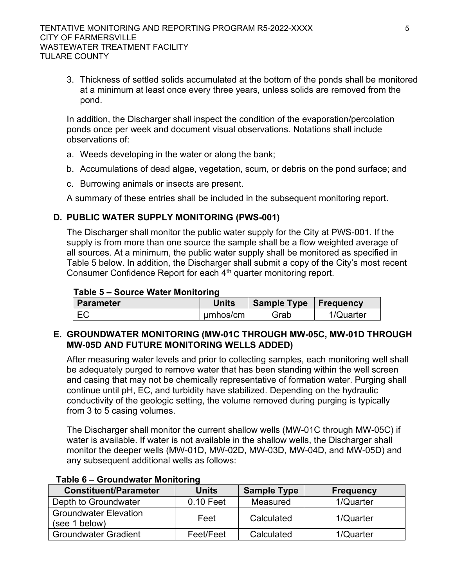3. Thickness of settled solids accumulated at the bottom of the ponds shall be monitored at a minimum at least once every three years, unless solids are removed from the pond.

In addition, the Discharger shall inspect the condition of the evaporation/percolation ponds once per week and document visual observations. Notations shall include observations of:

- a. Weeds developing in the water or along the bank;
- b. Accumulations of dead algae, vegetation, scum, or debris on the pond surface; and
- c. Burrowing animals or insects are present.

A summary of these entries shall be included in the subsequent monitoring report.

### **D. PUBLIC WATER SUPPLY MONITORING (PWS-001)**

The Discharger shall monitor the public water supply for the City at PWS-001. If the supply is from more than one source the sample shall be a flow weighted average of all sources. At a minimum, the public water supply shall be monitored as specified in Table 5 below. In addition, the Discharger shall submit a copy of the City's most recent Consumer Confidence Report for each 4<sup>th</sup> quarter monitoring report.

#### **Table 5 – Source Water Monitoring**

| Parameter | <b>Units</b> | Sample Type   Frequency |           |
|-----------|--------------|-------------------------|-----------|
| EC        | umhos/cm     | Grab                    | 1/Quarter |

### **E. GROUNDWATER MONITORING (MW-01C THROUGH MW-05C, MW-01D THROUGH MW-05D AND FUTURE MONITORING WELLS ADDED)**

After measuring water levels and prior to collecting samples, each monitoring well shall be adequately purged to remove water that has been standing within the well screen and casing that may not be chemically representative of formation water. Purging shall continue until pH, EC, and turbidity have stabilized. Depending on the hydraulic conductivity of the geologic setting, the volume removed during purging is typically from 3 to 5 casing volumes.

The Discharger shall monitor the current shallow wells (MW-01C through MW-05C) if water is available. If water is not available in the shallow wells, the Discharger shall monitor the deeper wells (MW-01D, MW-02D, MW-03D, MW-04D, and MW-05D) and any subsequent additional wells as follows:

| <b>Constituent/Parameter</b>                  | <b>Units</b> | <b>Sample Type</b> | <b>Frequency</b> |
|-----------------------------------------------|--------------|--------------------|------------------|
| Depth to Groundwater                          | $0.10$ Feet  | Measured           | 1/Quarter        |
| <b>Groundwater Elevation</b><br>(see 1 below) | Feet         | Calculated         | 1/Quarter        |
| <b>Groundwater Gradient</b>                   | Feet/Feet    | Calculated         | 1/Quarter        |

#### **Table 6 – Groundwater Monitoring**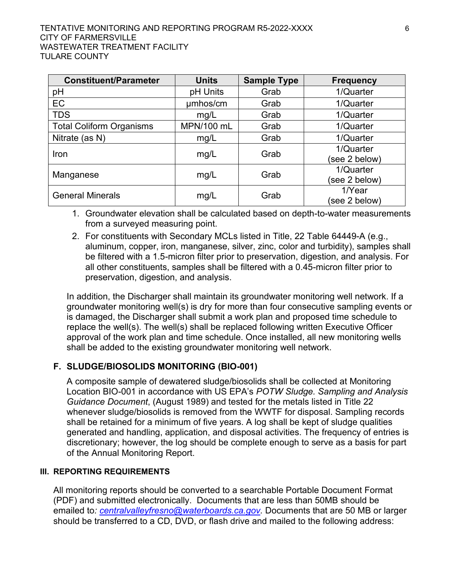| <b>Constituent/Parameter</b>    | <b>Units</b> | <b>Sample Type</b> | <b>Frequency</b> |
|---------------------------------|--------------|--------------------|------------------|
| pH                              | pH Units     | Grab               | 1/Quarter        |
| EC                              | umhos/cm     | Grab               | 1/Quarter        |
| <b>TDS</b>                      | mg/L         | Grab               | 1/Quarter        |
| <b>Total Coliform Organisms</b> | MPN/100 mL   | Grab               | 1/Quarter        |
| Nitrate (as N)                  | mg/L         | Grab               | 1/Quarter        |
| Iron                            | mg/L         | Grab               | 1/Quarter        |
|                                 |              |                    | (see 2 below)    |
| Manganese                       | mg/L         | Grab               | 1/Quarter        |
|                                 |              |                    | (see 2 below)    |
| <b>General Minerals</b>         | mg/L         | Grab               | 1/Year           |
|                                 |              |                    | (see 2 below)    |

1. Groundwater elevation shall be calculated based on depth-to-water measurements from a surveyed measuring point.

2. For constituents with Secondary MCLs listed in Title, 22 Table 64449-A (e.g., aluminum, copper, iron, manganese, silver, zinc, color and turbidity), samples shall be filtered with a 1.5-micron filter prior to preservation, digestion, and analysis. For all other constituents, samples shall be filtered with a 0.45-micron filter prior to preservation, digestion, and analysis.

In addition, the Discharger shall maintain its groundwater monitoring well network. If a groundwater monitoring well(s) is dry for more than four consecutive sampling events or is damaged, the Discharger shall submit a work plan and proposed time schedule to replace the well(s). The well(s) shall be replaced following written Executive Officer approval of the work plan and time schedule. Once installed, all new monitoring wells shall be added to the existing groundwater monitoring well network.

# **F. SLUDGE/BIOSOLIDS MONITORING (BIO-001)**

A composite sample of dewatered sludge/biosolids shall be collected at Monitoring Location BIO-001 in accordance with US EPA's *POTW Sludge. Sampling and Analysis Guidance Document*, (August 1989) and tested for the metals listed in Title 22 whenever sludge/biosolids is removed from the WWTF for disposal. Sampling records shall be retained for a minimum of five years. A log shall be kept of sludge qualities generated and handling, application, and disposal activities. The frequency of entries is discretionary; however, the log should be complete enough to serve as a basis for part of the Annual Monitoring Report.

#### **III. REPORTING REQUIREMENTS**

All monitoring reports should be converted to a searchable Portable Document Format (PDF) and submitted electronically. Documents that are less than 50MB should be emailed to*: [centralvalleyfresno@waterboards.ca.gov.](mailto:centralvalleyfresno@waterboards.ca.gov)* Documents that are 50 MB or larger should be transferred to a CD, DVD, or flash drive and mailed to the following address: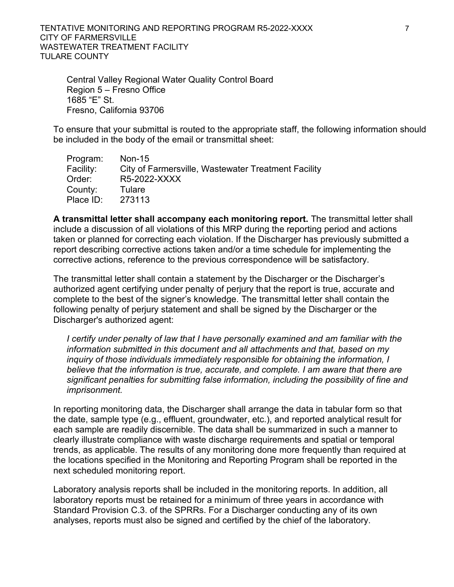TENTATIVE MONITORING AND REPORTING PROGRAM R5-2022-XXXX 7 CITY OF FARMERSVILLE WASTEWATER TREATMENT FACILITY TULARE COUNTY

Central Valley Regional Water Quality Control Board Region 5 – Fresno Office 1685 "E" St. Fresno, California 93706

To ensure that your submittal is routed to the appropriate staff, the following information should be included in the body of the email or transmittal sheet:

| Program:  | Non-15                                              |
|-----------|-----------------------------------------------------|
| Facility: | City of Farmersville, Wastewater Treatment Facility |
| Order:    | R5-2022-XXXX                                        |
| County:   | Tulare                                              |
| Place ID: | 273113                                              |

**A transmittal letter shall accompany each monitoring report.** The transmittal letter shall include a discussion of all violations of this MRP during the reporting period and actions taken or planned for correcting each violation. If the Discharger has previously submitted a report describing corrective actions taken and/or a time schedule for implementing the corrective actions, reference to the previous correspondence will be satisfactory.

The transmittal letter shall contain a statement by the Discharger or the Discharger's authorized agent certifying under penalty of perjury that the report is true, accurate and complete to the best of the signer's knowledge. The transmittal letter shall contain the following penalty of perjury statement and shall be signed by the Discharger or the Discharger's authorized agent:

*I certify under penalty of law that I have personally examined and am familiar with the information submitted in this document and all attachments and that, based on my inquiry of those individuals immediately responsible for obtaining the information, I believe that the information is true, accurate, and complete. I am aware that there are significant penalties for submitting false information, including the possibility of fine and imprisonment.*

In reporting monitoring data, the Discharger shall arrange the data in tabular form so that the date, sample type (e.g., effluent, groundwater, etc.), and reported analytical result for each sample are readily discernible. The data shall be summarized in such a manner to clearly illustrate compliance with waste discharge requirements and spatial or temporal trends, as applicable. The results of any monitoring done more frequently than required at the locations specified in the Monitoring and Reporting Program shall be reported in the next scheduled monitoring report.

Laboratory analysis reports shall be included in the monitoring reports. In addition, all laboratory reports must be retained for a minimum of three years in accordance with Standard Provision C.3. of the SPRRs. For a Discharger conducting any of its own analyses, reports must also be signed and certified by the chief of the laboratory.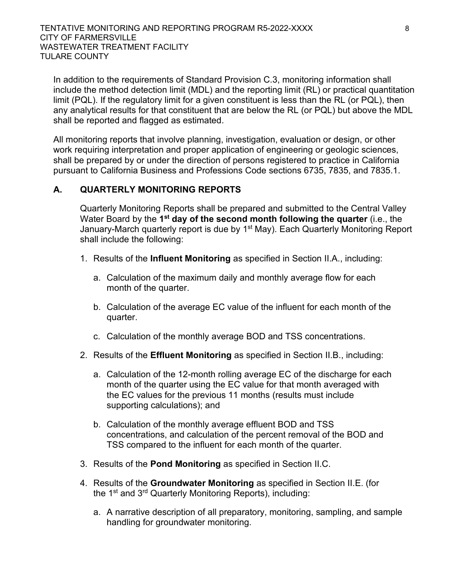In addition to the requirements of Standard Provision C.3, monitoring information shall include the method detection limit (MDL) and the reporting limit (RL) or practical quantitation limit (PQL). If the regulatory limit for a given constituent is less than the RL (or PQL), then any analytical results for that constituent that are below the RL (or PQL) but above the MDL shall be reported and flagged as estimated.

All monitoring reports that involve planning, investigation, evaluation or design, or other work requiring interpretation and proper application of engineering or geologic sciences, shall be prepared by or under the direction of persons registered to practice in California pursuant to California Business and Professions Code sections 6735, 7835, and 7835.1.

### **A. QUARTERLY MONITORING REPORTS**

Quarterly Monitoring Reports shall be prepared and submitted to the Central Valley Water Board by the 1<sup>st</sup> day of the second month following the quarter (i.e., the January-March quarterly report is due by 1<sup>st</sup> May). Each Quarterly Monitoring Report shall include the following:

- 1. Results of the **Influent Monitoring** as specified in Section II.A., including:
	- a. Calculation of the maximum daily and monthly average flow for each month of the quarter.
	- b. Calculation of the average EC value of the influent for each month of the quarter.
	- c. Calculation of the monthly average BOD and TSS concentrations.
- 2. Results of the **Effluent Monitoring** as specified in Section II.B., including:
	- a. Calculation of the 12-month rolling average EC of the discharge for each month of the quarter using the EC value for that month averaged with the EC values for the previous 11 months (results must include supporting calculations); and
	- b. Calculation of the monthly average effluent BOD and TSS concentrations, and calculation of the percent removal of the BOD and TSS compared to the influent for each month of the quarter.
- 3. Results of the **Pond Monitoring** as specified in Section II.C.
- 4. Results of the **Groundwater Monitoring** as specified in Section II.E. (for the 1<sup>st</sup> and 3<sup>rd</sup> Quarterly Monitoring Reports), including:
	- a. A narrative description of all preparatory, monitoring, sampling, and sample handling for groundwater monitoring.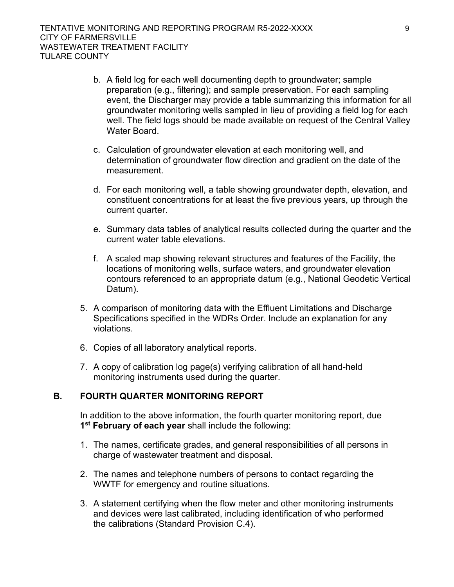- b. A field log for each well documenting depth to groundwater; sample preparation (e.g., filtering); and sample preservation. For each sampling event, the Discharger may provide a table summarizing this information for all groundwater monitoring wells sampled in lieu of providing a field log for each well. The field logs should be made available on request of the Central Valley Water Board.
- c. Calculation of groundwater elevation at each monitoring well, and determination of groundwater flow direction and gradient on the date of the measurement.
- d. For each monitoring well, a table showing groundwater depth, elevation, and constituent concentrations for at least the five previous years, up through the current quarter.
- e. Summary data tables of analytical results collected during the quarter and the current water table elevations.
- f. A scaled map showing relevant structures and features of the Facility, the locations of monitoring wells, surface waters, and groundwater elevation contours referenced to an appropriate datum (e.g., National Geodetic Vertical Datum).
- 5. A comparison of monitoring data with the Effluent Limitations and Discharge Specifications specified in the WDRs Order. Include an explanation for any violations.
- 6. Copies of all laboratory analytical reports.
- 7. A copy of calibration log page(s) verifying calibration of all hand-held monitoring instruments used during the quarter.

# **B. FOURTH QUARTER MONITORING REPORT**

In addition to the above information, the fourth quarter monitoring report, due **1 st February of each year** shall include the following:

- 1. The names, certificate grades, and general responsibilities of all persons in charge of wastewater treatment and disposal.
- 2. The names and telephone numbers of persons to contact regarding the WWTF for emergency and routine situations.
- 3. A statement certifying when the flow meter and other monitoring instruments and devices were last calibrated, including identification of who performed the calibrations (Standard Provision C.4).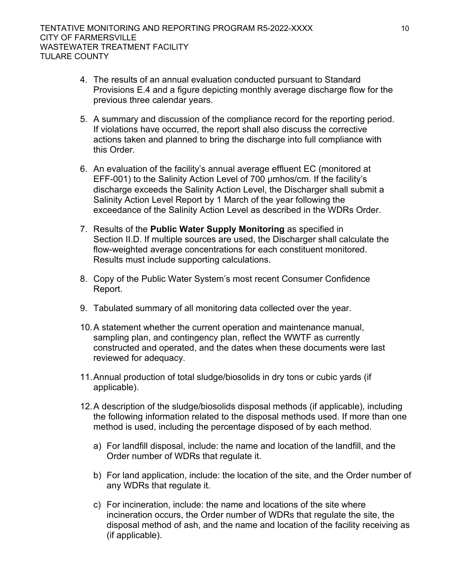- 4. The results of an annual evaluation conducted pursuant to Standard Provisions E.4 and a figure depicting monthly average discharge flow for the previous three calendar years.
- 5. A summary and discussion of the compliance record for the reporting period. If violations have occurred, the report shall also discuss the corrective actions taken and planned to bring the discharge into full compliance with this Order.
- 6. An evaluation of the facility's annual average effluent EC (monitored at EFF-001) to the Salinity Action Level of 700 µmhos/cm. If the facility's discharge exceeds the Salinity Action Level, the Discharger shall submit a Salinity Action Level Report by 1 March of the year following the exceedance of the Salinity Action Level as described in the WDRs Order.
- 7. Results of the **Public Water Supply Monitoring** as specified in Section II.D. If multiple sources are used, the Discharger shall calculate the flow-weighted average concentrations for each constituent monitored. Results must include supporting calculations.
- 8. Copy of the Public Water System's most recent Consumer Confidence Report.
- 9. Tabulated summary of all monitoring data collected over the year.
- 10.A statement whether the current operation and maintenance manual, sampling plan, and contingency plan, reflect the WWTF as currently constructed and operated, and the dates when these documents were last reviewed for adequacy.
- 11.Annual production of total sludge/biosolids in dry tons or cubic yards (if applicable).
- 12.A description of the sludge/biosolids disposal methods (if applicable), including the following information related to the disposal methods used. If more than one method is used, including the percentage disposed of by each method.
	- a) For landfill disposal, include: the name and location of the landfill, and the Order number of WDRs that regulate it.
	- b) For land application, include: the location of the site, and the Order number of any WDRs that regulate it.
	- c) For incineration, include: the name and locations of the site where incineration occurs, the Order number of WDRs that regulate the site, the disposal method of ash, and the name and location of the facility receiving as (if applicable).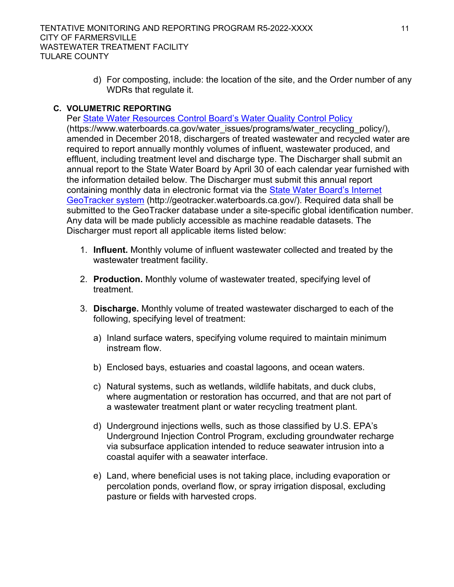d) For composting, include: the location of the site, and the Order number of any WDRs that regulate it.

### **C. VOLUMETRIC REPORTING**

Per [State Water Resources Control Board's Water Quality Control Policy](https://www.waterboards.ca.gov/water_issues/programs/water_recycling_policy/),) (https://www.waterboards.ca.gov/water\_issues/programs/water\_recycling\_policy/), amended in December 2018, dischargers of treated wastewater and recycled water are required to report annually monthly volumes of influent, wastewater produced, and effluent, including treatment level and discharge type. The Discharger shall submit an annual report to the State Water Board by April 30 of each calendar year furnished with the information detailed below. The Discharger must submit this annual report containing monthly data in electronic format via the State Water Board's Internet [GeoTracker system](http://geotracker.waterboards.ca.gov/) (http://geotracker.waterboards.ca.gov/). Required data shall be submitted to the GeoTracker database under a site-specific global identification number. Any data will be made publicly accessible as machine readable datasets. The Discharger must report all applicable items listed below:

- 1. **Influent.** Monthly volume of influent wastewater collected and treated by the wastewater treatment facility.
- 2. **Production.** Monthly volume of wastewater treated, specifying level of treatment.
- 3. **Discharge.** Monthly volume of treated wastewater discharged to each of the following, specifying level of treatment:
	- a) Inland surface waters, specifying volume required to maintain minimum instream flow.
	- b) Enclosed bays, estuaries and coastal lagoons, and ocean waters.
	- c) Natural systems, such as wetlands, wildlife habitats, and duck clubs, where augmentation or restoration has occurred, and that are not part of a wastewater treatment plant or water recycling treatment plant.
	- d) Underground injections wells, such as those classified by U.S. EPA's Underground Injection Control Program, excluding groundwater recharge via subsurface application intended to reduce seawater intrusion into a coastal aquifer with a seawater interface.
	- e) Land, where beneficial uses is not taking place, including evaporation or percolation ponds, overland flow, or spray irrigation disposal, excluding pasture or fields with harvested crops.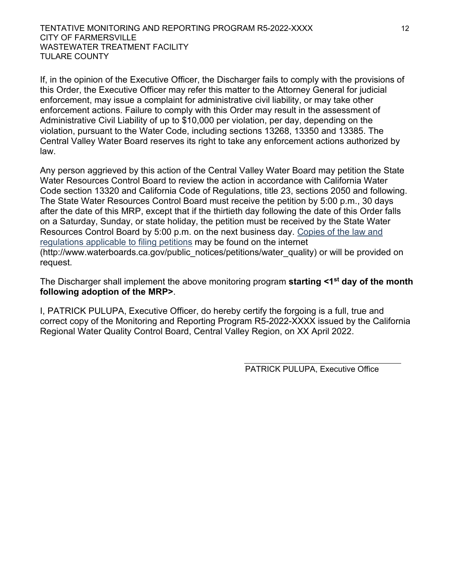If, in the opinion of the Executive Officer, the Discharger fails to comply with the provisions of this Order, the Executive Officer may refer this matter to the Attorney General for judicial enforcement, may issue a complaint for administrative civil liability, or may take other enforcement actions. Failure to comply with this Order may result in the assessment of Administrative Civil Liability of up to \$10,000 per violation, per day, depending on the violation, pursuant to the Water Code, including sections 13268, 13350 and 13385. The Central Valley Water Board reserves its right to take any enforcement actions authorized by law.

Any person aggrieved by this action of the Central Valley Water Board may petition the State Water Resources Control Board to review the action in accordance with California Water Code section 13320 and California Code of Regulations, title 23, sections 2050 and following. The State Water Resources Control Board must receive the petition by 5:00 p.m., 30 days after the date of this MRP, except that if the thirtieth day following the date of this Order falls on a Saturday, Sunday, or state holiday, the petition must be received by the State Water Resources Control Board by 5:00 p.m. on the next business day. [Copies of the law and](http://www.waterboards.ca.gov/public_notices/petitions/water_quality)  [regulations applicable to filing petitions](http://www.waterboards.ca.gov/public_notices/petitions/water_quality) may be found on the internet (http://www.waterboards.ca.gov/public\_notices/petitions/water\_quality) or will be provided on request.

The Discharger shall implement the above monitoring program **starting <1st day of the month following adoption of the MRP>**.

I, PATRICK PULUPA, Executive Officer, do hereby certify the forgoing is a full, true and correct copy of the Monitoring and Reporting Program R5-2022-XXXX issued by the California Regional Water Quality Control Board, Central Valley Region, on XX April 2022.

PATRICK PULUPA, Executive Office